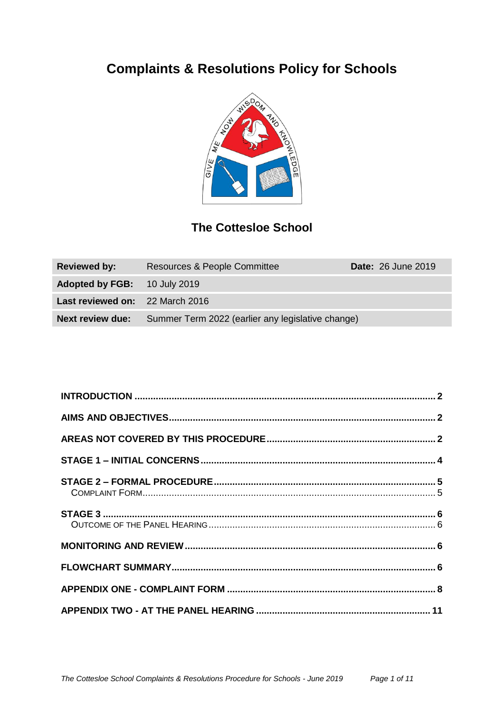# **Complaints & Resolutions Policy for Schools**



## **The Cottesloe School**

| <b>Reviewed by:</b>                 | <b>Resources &amp; People Committee</b>           | <b>Date: 26 June 2019</b> |
|-------------------------------------|---------------------------------------------------|---------------------------|
| <b>Adopted by FGB:</b> 10 July 2019 |                                                   |                           |
| Last reviewed on: 22 March 2016     |                                                   |                           |
| <b>Next review due:</b>             | Summer Term 2022 (earlier any legislative change) |                           |

<span id="page-0-0"></span>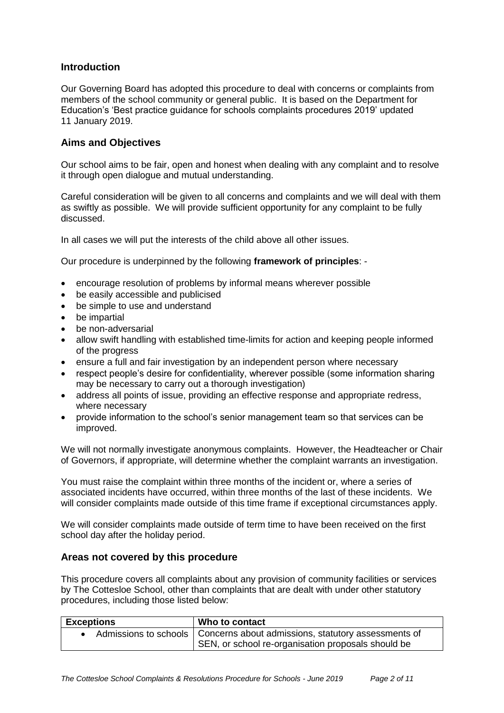#### **Introduction**

Our Governing Board has adopted this procedure to deal with concerns or complaints from members of the school community or general public. It is based on the Department for Education's 'Best practice guidance for schools complaints procedures 2019' updated 11 January 2019.

#### <span id="page-1-0"></span>**Aims and Objectives**

Our school aims to be fair, open and honest when dealing with any complaint and to resolve it through open dialogue and mutual understanding.

Careful consideration will be given to all concerns and complaints and we will deal with them as swiftly as possible. We will provide sufficient opportunity for any complaint to be fully discussed.

In all cases we will put the interests of the child above all other issues.

Our procedure is underpinned by the following **framework of principles**: -

- encourage resolution of problems by informal means wherever possible
- be easily accessible and publicised
- be simple to use and understand
- be impartial
- be non-adversarial
- allow swift handling with established time-limits for action and keeping people informed of the progress
- ensure a full and fair investigation by an independent person where necessary
- respect people's desire for confidentiality, wherever possible (some information sharing may be necessary to carry out a thorough investigation)
- address all points of issue, providing an effective response and appropriate redress, where necessary
- provide information to the school's senior management team so that services can be improved.

We will not normally investigate anonymous complaints. However, the Headteacher or Chair of Governors, if appropriate, will determine whether the complaint warrants an investigation.

You must raise the complaint within three months of the incident or, where a series of associated incidents have occurred, within three months of the last of these incidents. We will consider complaints made outside of this time frame if exceptional circumstances apply.

We will consider complaints made outside of term time to have been received on the first school day after the holiday period.

#### <span id="page-1-1"></span>**Areas not covered by this procedure**

This procedure covers all complaints about any provision of community facilities or services by The Cottesloe School, other than complaints that are dealt with under other statutory procedures, including those listed below:

| <b>Exceptions</b> | Who to contact                                                                                                                    |
|-------------------|-----------------------------------------------------------------------------------------------------------------------------------|
|                   | Admissions to schools   Concerns about admissions, statutory assessments of<br>SEN, or school re-organisation proposals should be |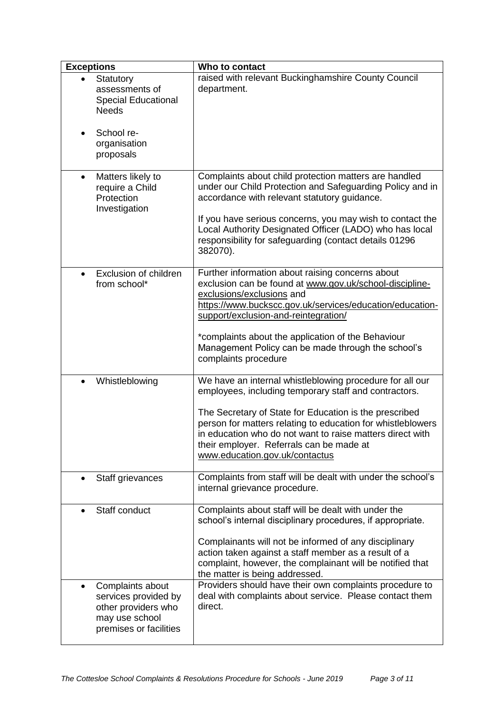| <b>Exceptions</b>                                                                                                        | Who to contact                                                                                                                                                                                                                                                                                                                                                                        |
|--------------------------------------------------------------------------------------------------------------------------|---------------------------------------------------------------------------------------------------------------------------------------------------------------------------------------------------------------------------------------------------------------------------------------------------------------------------------------------------------------------------------------|
| Statutory<br>assessments of<br><b>Special Educational</b><br><b>Needs</b>                                                | raised with relevant Buckinghamshire County Council<br>department.                                                                                                                                                                                                                                                                                                                    |
| School re-<br>$\bullet$<br>organisation<br>proposals                                                                     |                                                                                                                                                                                                                                                                                                                                                                                       |
| Matters likely to<br>$\bullet$<br>require a Child<br>Protection<br>Investigation                                         | Complaints about child protection matters are handled<br>under our Child Protection and Safeguarding Policy and in<br>accordance with relevant statutory guidance.<br>If you have serious concerns, you may wish to contact the<br>Local Authority Designated Officer (LADO) who has local<br>responsibility for safeguarding (contact details 01296<br>382070).                      |
| Exclusion of children<br>$\bullet$<br>from school*                                                                       | Further information about raising concerns about<br>exclusion can be found at www.gov.uk/school-discipline-<br>exclusions/exclusions and<br>https://www.buckscc.gov.uk/services/education/education-<br>support/exclusion-and-reintegration/<br>*complaints about the application of the Behaviour<br>Management Policy can be made through the school's<br>complaints procedure      |
| Whistleblowing                                                                                                           | We have an internal whistleblowing procedure for all our<br>employees, including temporary staff and contractors.<br>The Secretary of State for Education is the prescribed<br>person for matters relating to education for whistleblowers<br>in education who do not want to raise matters direct with<br>their employer. Referrals can be made at<br>www.education.gov.uk/contactus |
| Staff grievances                                                                                                         | Complaints from staff will be dealt with under the school's<br>internal grievance procedure.                                                                                                                                                                                                                                                                                          |
| Staff conduct                                                                                                            | Complaints about staff will be dealt with under the<br>school's internal disciplinary procedures, if appropriate.<br>Complainants will not be informed of any disciplinary<br>action taken against a staff member as a result of a<br>complaint, however, the complainant will be notified that<br>the matter is being addressed.                                                     |
| Complaints about<br>$\bullet$<br>services provided by<br>other providers who<br>may use school<br>premises or facilities | Providers should have their own complaints procedure to<br>deal with complaints about service. Please contact them<br>direct.                                                                                                                                                                                                                                                         |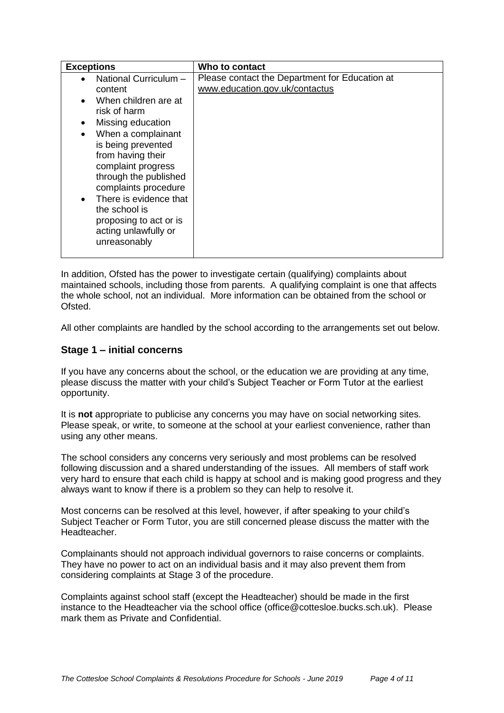| <b>Exceptions</b>                                                                                                                                                                                                                                                                                                                                                                 | Who to contact                                                                   |
|-----------------------------------------------------------------------------------------------------------------------------------------------------------------------------------------------------------------------------------------------------------------------------------------------------------------------------------------------------------------------------------|----------------------------------------------------------------------------------|
| National Curriculum -<br>content<br>When children are at<br>$\bullet$<br>risk of harm<br>Missing education<br>٠<br>When a complainant<br>$\bullet$<br>is being prevented<br>from having their<br>complaint progress<br>through the published<br>complaints procedure<br>There is evidence that<br>the school is<br>proposing to act or is<br>acting unlawfully or<br>unreasonably | Please contact the Department for Education at<br>www.education.gov.uk/contactus |

In addition, Ofsted has the power to investigate certain (qualifying) complaints about maintained schools, including those from parents. A qualifying complaint is one that affects the whole school, not an individual. More information can be obtained from the school or Ofsted.

All other complaints are handled by the school according to the arrangements set out below.

#### <span id="page-3-0"></span>**Stage 1 – initial concerns**

If you have any concerns about the school, or the education we are providing at any time, please discuss the matter with your child's Subject Teacher or Form Tutor at the earliest opportunity.

It is **not** appropriate to publicise any concerns you may have on social networking sites. Please speak, or write, to someone at the school at your earliest convenience, rather than using any other means.

The school considers any concerns very seriously and most problems can be resolved following discussion and a shared understanding of the issues. All members of staff work very hard to ensure that each child is happy at school and is making good progress and they always want to know if there is a problem so they can help to resolve it.

Most concerns can be resolved at this level, however, if after speaking to your child's Subject Teacher or Form Tutor, you are still concerned please discuss the matter with the Headteacher.

Complainants should not approach individual governors to raise concerns or complaints. They have no power to act on an individual basis and it may also prevent them from considering complaints at Stage 3 of the procedure.

Complaints against school staff (except the Headteacher) should be made in the first instance to the Headteacher via the school office (office@cottesloe.bucks.sch.uk). Please mark them as Private and Confidential.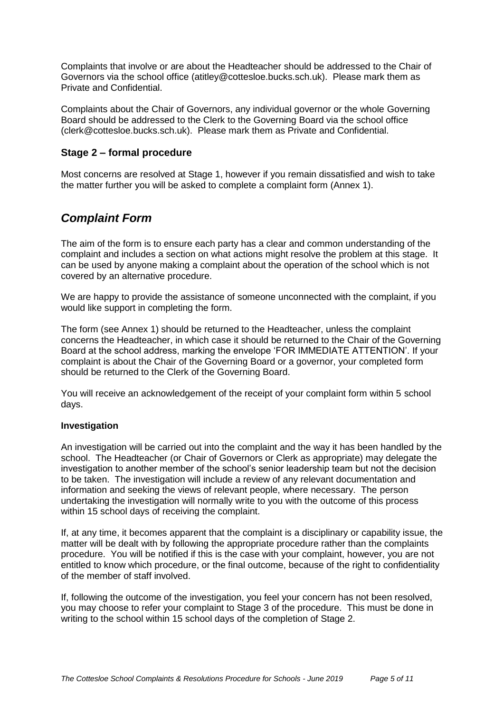Complaints that involve or are about the Headteacher should be addressed to the Chair of Governors via the school office (atitley@cottesloe.bucks.sch.uk). Please mark them as Private and Confidential.

Complaints about the Chair of Governors, any individual governor or the whole Governing Board should be addressed to the Clerk to the Governing Board via the school office (clerk@cottesloe.bucks.sch.uk). Please mark them as Private and Confidential.

#### <span id="page-4-0"></span>**Stage 2 – formal procedure**

Most concerns are resolved at Stage 1, however if you remain dissatisfied and wish to take the matter further you will be asked to complete a complaint form (Annex 1).

### <span id="page-4-1"></span>*Complaint Form*

The aim of the form is to ensure each party has a clear and common understanding of the complaint and includes a section on what actions might resolve the problem at this stage. It can be used by anyone making a complaint about the operation of the school which is not covered by an alternative procedure.

We are happy to provide the assistance of someone unconnected with the complaint, if you would like support in completing the form.

The form (see Annex 1) should be returned to the Headteacher, unless the complaint concerns the Headteacher, in which case it should be returned to the Chair of the Governing Board at the school address, marking the envelope 'FOR IMMEDIATE ATTENTION'. If your complaint is about the Chair of the Governing Board or a governor, your completed form should be returned to the Clerk of the Governing Board.

You will receive an acknowledgement of the receipt of your complaint form within 5 school days.

#### **Investigation**

An investigation will be carried out into the complaint and the way it has been handled by the school. The Headteacher (or Chair of Governors or Clerk as appropriate) may delegate the investigation to another member of the school's senior leadership team but not the decision to be taken. The investigation will include a review of any relevant documentation and information and seeking the views of relevant people, where necessary. The person undertaking the investigation will normally write to you with the outcome of this process within 15 school days of receiving the complaint.

If, at any time, it becomes apparent that the complaint is a disciplinary or capability issue, the matter will be dealt with by following the appropriate procedure rather than the complaints procedure. You will be notified if this is the case with your complaint, however, you are not entitled to know which procedure, or the final outcome, because of the right to confidentiality of the member of staff involved.

If, following the outcome of the investigation, you feel your concern has not been resolved, you may choose to refer your complaint to Stage 3 of the procedure. This must be done in writing to the school within 15 school days of the completion of Stage 2.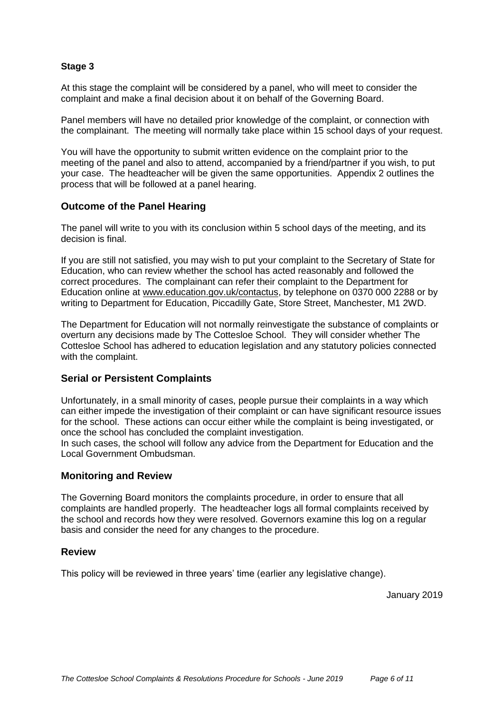#### <span id="page-5-0"></span>**Stage 3**

At this stage the complaint will be considered by a panel, who will meet to consider the complaint and make a final decision about it on behalf of the Governing Board.

Panel members will have no detailed prior knowledge of the complaint, or connection with the complainant. The meeting will normally take place within 15 school days of your request.

You will have the opportunity to submit written evidence on the complaint prior to the meeting of the panel and also to attend, accompanied by a friend/partner if you wish, to put your case. The headteacher will be given the same opportunities. Appendix 2 outlines the process that will be followed at a panel hearing.

#### <span id="page-5-1"></span>**Outcome of the Panel Hearing**

The panel will write to you with its conclusion within 5 school days of the meeting, and its decision is final.

If you are still not satisfied, you may wish to put your complaint to the Secretary of State for Education, who can review whether the school has acted reasonably and followed the correct procedures. The complainant can refer their complaint to the Department for Education online at [www.education.gov.uk/contactus,](http://www.education.gov.uk/contactus) by telephone on 0370 000 2288 or by writing to Department for Education, Piccadilly Gate, Store Street, Manchester, M1 2WD.

The Department for Education will not normally reinvestigate the substance of complaints or overturn any decisions made by The Cottesloe School. They will consider whether The Cottesloe School has adhered to education legislation and any statutory policies connected with the complaint.

#### **Serial or Persistent Complaints**

Unfortunately, in a small minority of cases, people pursue their complaints in a way which can either impede the investigation of their complaint or can have significant resource issues for the school. These actions can occur either while the complaint is being investigated, or once the school has concluded the complaint investigation.

In such cases, the school will follow any advice from the Department for Education and the Local Government Ombudsman.

#### <span id="page-5-2"></span>**Monitoring and Review**

The Governing Board monitors the complaints procedure, in order to ensure that all complaints are handled properly. The headteacher logs all formal complaints received by the school and records how they were resolved. Governors examine this log on a regular basis and consider the need for any changes to the procedure.

#### <span id="page-5-3"></span>**Review**

This policy will be reviewed in three years' time (earlier any legislative change).

January 2019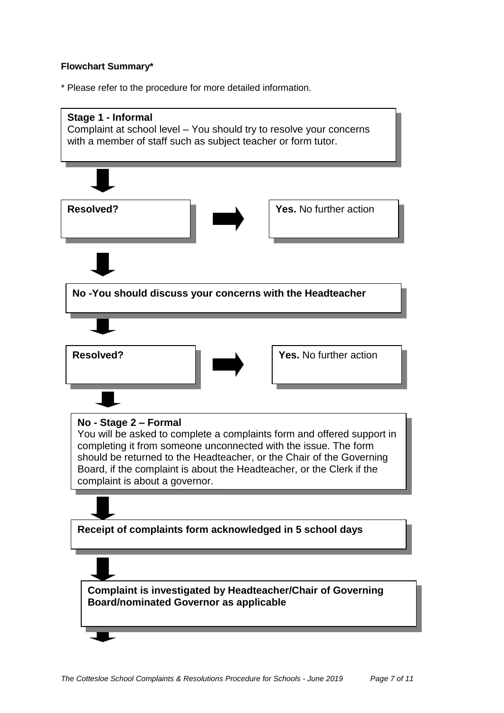#### **Flowchart Summary\***

\* Please refer to the procedure for more detailed information.

<span id="page-6-0"></span>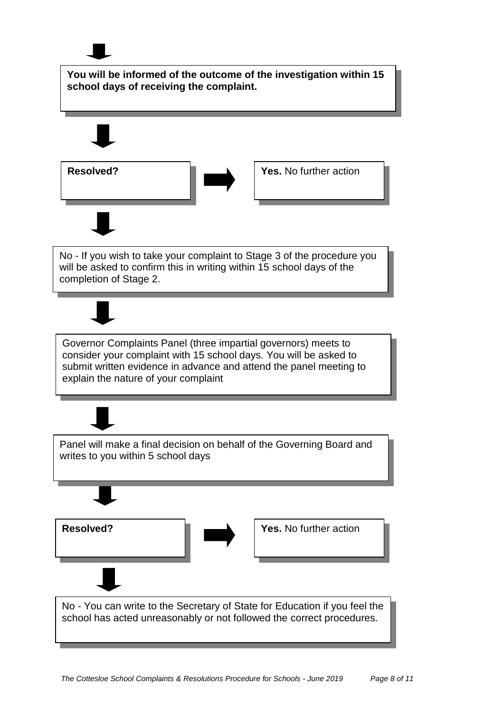

**You will be informed of the outcome of the investigation within 15 school days of receiving the complaint.**





No - If you wish to take your complaint to Stage 3 of the procedure you will be asked to confirm this in writing within 15 school days of the completion of Stage 2.

Governor Complaints Panel (three impartial governors) meets to consider your complaint with 15 school days. You will be asked to submit written evidence in advance and attend the panel meeting to explain the nature of your complaint



No - You can write to the Secretary of State for Education if you feel the school has acted unreasonably or not followed the correct procedures.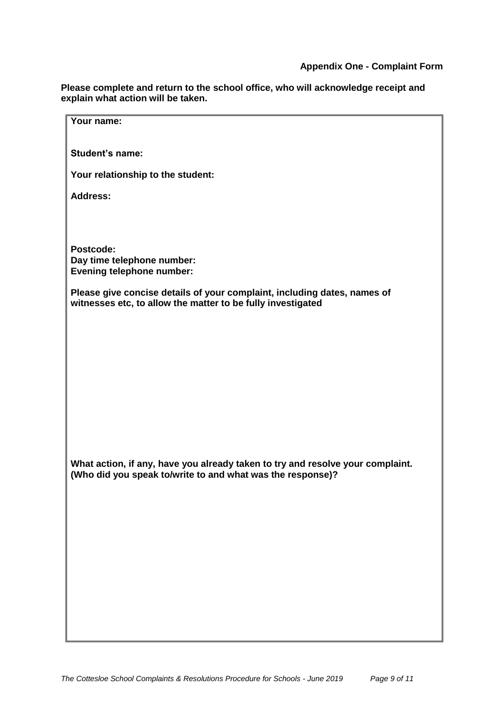**Please complete and return to the school office, who will acknowledge receipt and explain what action will be taken.**

| Your name:                                                                                                                              |
|-----------------------------------------------------------------------------------------------------------------------------------------|
|                                                                                                                                         |
| <b>Student's name:</b>                                                                                                                  |
|                                                                                                                                         |
| Your relationship to the student:                                                                                                       |
| <b>Address:</b>                                                                                                                         |
|                                                                                                                                         |
|                                                                                                                                         |
|                                                                                                                                         |
| Postcode:<br>Day time telephone number:                                                                                                 |
| <b>Evening telephone number:</b>                                                                                                        |
|                                                                                                                                         |
| Please give concise details of your complaint, including dates, names of<br>witnesses etc, to allow the matter to be fully investigated |
|                                                                                                                                         |
|                                                                                                                                         |
|                                                                                                                                         |
|                                                                                                                                         |
|                                                                                                                                         |
|                                                                                                                                         |
|                                                                                                                                         |
|                                                                                                                                         |
|                                                                                                                                         |
|                                                                                                                                         |
| What action, if any, have you already taken to try and resolve your complaint.                                                          |
| (Who did you speak to/write to and what was the response)?                                                                              |
|                                                                                                                                         |
|                                                                                                                                         |
|                                                                                                                                         |
|                                                                                                                                         |
|                                                                                                                                         |
|                                                                                                                                         |
|                                                                                                                                         |
|                                                                                                                                         |
|                                                                                                                                         |
|                                                                                                                                         |
|                                                                                                                                         |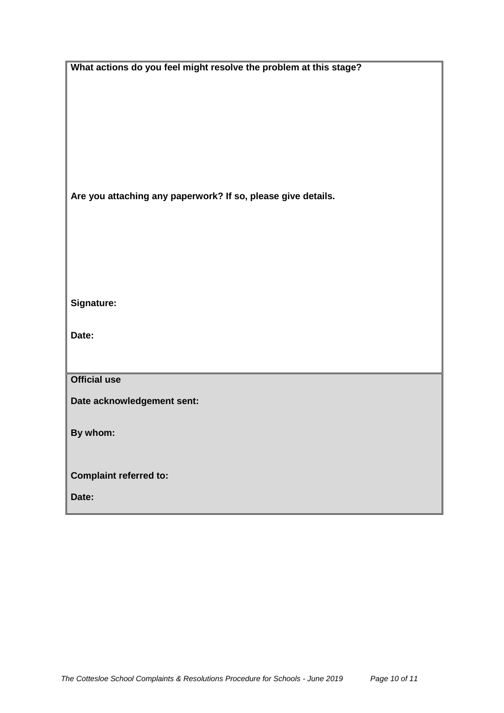| What actions do you feel might resolve the problem at this stage? |
|-------------------------------------------------------------------|
|                                                                   |
|                                                                   |
|                                                                   |
|                                                                   |
|                                                                   |
|                                                                   |
|                                                                   |
|                                                                   |
| Are you attaching any paperwork? If so, please give details.      |
|                                                                   |
|                                                                   |
|                                                                   |
|                                                                   |
|                                                                   |
|                                                                   |
| Signature:                                                        |
|                                                                   |
|                                                                   |
| Date:                                                             |
|                                                                   |
|                                                                   |
| <b>Official use</b>                                               |
| Date acknowledgement sent:                                        |
|                                                                   |
| By whom:                                                          |
|                                                                   |
|                                                                   |
| <b>Complaint referred to:</b>                                     |
|                                                                   |
| Date:                                                             |

 $\mathsf{l}$